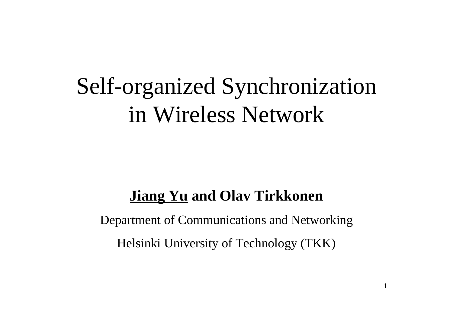# Self-organized Synchronization in Wireless Network

#### **Jiang Yu and Olav Tirkkonen**

Department of Communications and Networking Helsinki University of Technology (TKK)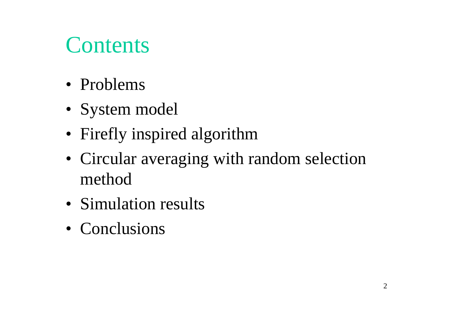## **Contents**

- Problems
- System model
- Firefly inspired algorithm
- Circular averaging with random selection method
- Simulation results
- Conclusions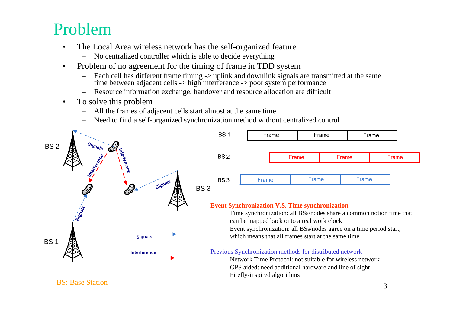### Problem

- • The Local Area wireless network has the self-organized feature
	- No centralized controller which is able to decide everything
- • Problem of no agreement for the timing of frame in TDD system
	- –Each cell has different frame timing -> uplink and downlink signals are transmitted at the same time between adjacent cells -> high interference -> poor system performance
	- –Resource information exchange, handover and resource allocation are difficult
- • To solve this problem
	- –All the frames of adjacent cells start almost at the same time
	- –Need to find a self-organized synchronization method without centralized control



BS: Base Station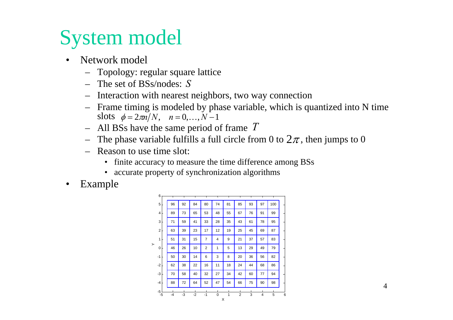### System model

- • Network model
	- Topology: regular square lattice
	- The set of BSs/nodes: *S*
	- Interaction with nearest neighbors, two way connection
	- Frame timing is modeled by phase variable, which is quantized into N time slots  $\phi = 2\pi n/N$ ,  $n = 0,...,N-1$
	- All BSs have the same period of frame *T*
	- The phase variable fulfills a full circle from 0 to  $2\pi$ , then jumps to 0
	- Reason to use time slot:
		- finite accuracy to measure the time difference among BSs
		- accurate property of synchronization algorithms
- •Example

|   | -5             | $-4$ | -3 | $-2$ | $-1$           | $\Omega$<br>Χ | 1  | $\overline{2}$ | 3  | $\overline{4}$ | 5   | 6 |
|---|----------------|------|----|------|----------------|---------------|----|----------------|----|----------------|-----|---|
|   | $-5$           |      |    |      |                |               |    |                |    |                |     |   |
|   | $-4$           | 88   | 72 | 64   | 52             | 47            | 54 | 66             | 75 | 90             | 98  |   |
|   | $-3$           | 70   | 58 | 40   | 32             | 27            | 34 | 42             | 60 | 77             | 94  |   |
|   | $-2$           | 62   | 38 | 22   | 16             | 11            | 18 | 24             | 44 | 68             | 86  |   |
|   | $-1$           | 50   | 30 | 14   | 6              | 3             | 8  | 20             | 36 | 56             | 82  |   |
| ≻ | 0              | 46   | 26 | 10   | $\overline{2}$ | 1             | 5  | 13             | 29 | 49             | 79  |   |
|   | 1              | 51   | 31 | 15   | $\overline{7}$ | 4             | 9  | 21             | 37 | 57             | 83  |   |
|   | $\overline{2}$ | 63   | 39 | 23   | 17             | 12            | 19 | 25             | 45 | 69             | 87  |   |
|   | 3              | 71   | 59 | 41   | 33             | 28            | 35 | 43             | 61 | 78             | 95  |   |
|   | $\overline{4}$ | 89   | 73 | 65   | 53             | 48            | 55 | 67             | 76 | 91             | 99  |   |
|   | 5              | 96   | 92 | 84   | 80             | 74            | 81 | 85             | 93 | 97             | 100 |   |
|   | 6              | т    |    | т    | т              |               |    | т              |    |                |     |   |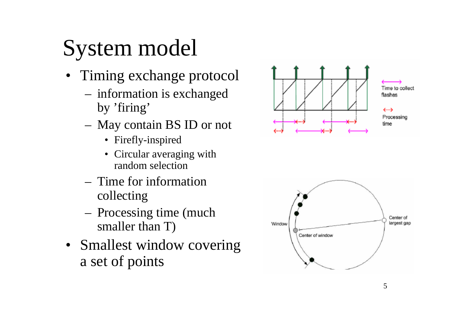# System model

- Timing exchange protocol
	- information is exchanged by 'firing'
	- May contain BS ID or not
		- Firefly-inspired
		- Circular averaging with random selection
	- Time for information collecting
	- Processing time (much smaller than T)
- Smallest window covering a set of points



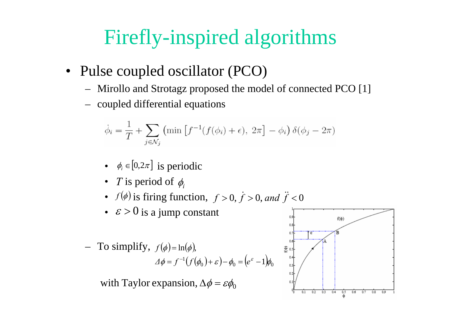### Firefly-inspired algorithms

- Pulse coupled oscillator (PCO)
	- Mirollo and Strotagz proposed the model of connected PCO [1]
	- coupled differential equations

$$
\dot{\phi}_i = \frac{1}{T} + \sum_{j \in \mathcal{N}_j} \left( \min \left[ f^{-1}(f(\phi_i) + \epsilon), 2\pi \right] - \phi_i \right) \delta(\phi_j - 2\pi)
$$

- $\phi_i \in [0, 2\pi]$  is periodic
- *T* is period of  $\phi_i$
- $f(\phi)$  is firing function,  $f > 0$ ,  $\dot{f} > 0$ , and  $\ddot{f} < 0$
- $\varepsilon > 0$  is a jump constant

To simplify,  $f(\phi) = \ln(\phi)$ ,  $\phi = f^{-1}(f(\phi_0) + \varepsilon) - \phi_0 = (e^{\varepsilon} - 1)\phi_0$  $\Delta \phi = f^{-1}(f(\phi_0) + \varepsilon) - \phi_0 = (e^{\phi_0})$ 

with Taylor expansion,  $\Delta \phi = \varepsilon \phi_0^2$ 

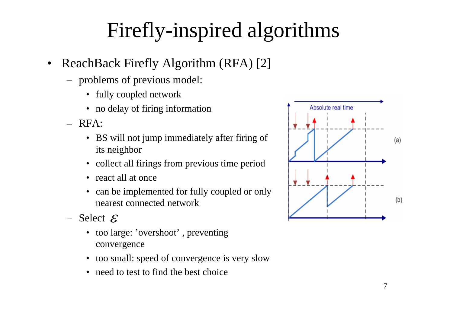## Firefly-inspired algorithms

- $\bullet$  ReachBack Firefly Algorithm (RFA) [2]
	- problems of previous model:
		- fully coupled network
		- no delay of firing information
	- RFA:
		- BS will not jump immediately after firing of its neighbor
		- collect all firings from previous time period
		- react all at once
		- can be implemented for fully coupled or only nearest connected network
	- $-$  Select  $\mathcal E$ 
		- too large: 'overshoot', preventing convergence
		- too small: speed of convergence is very slow
		- need to test to find the best choice

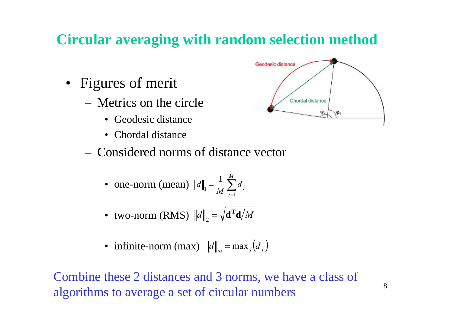### **Circular averaging with random selection method**

- Figures of merit
	- Metrics on the circle
		- Geodesic distance
		- Chordal distance
	- Considered norms of distance vector
		- one-norm (mean)  $||d||_1 = \frac{1}{M} \sum_{i=1}^M$ = *M j*  $\frac{1}{M}\sum_{i=1}^n d_i$ *d* 11 1
		- two-norm (RMS)  $\|d\|_2 = \sqrt{\mathbf{d} \cdot \mathbf{d}}/M$  $\mathbf{p}_2 = \sqrt{\mathbf{d}^{\mathrm{T}}}$
		- infinite-norm (max)  $||d||_{\infty} = \max_{j} (d_j)$ )

Combine these 2 distances and 3 norms, we have a class of algorithms to average a set of circular numbers

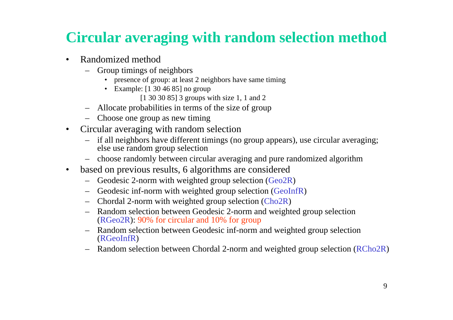### **Circular averaging with random selection method**

- • Randomized method
	- Group timings of neighbors
		- presence of group: at least 2 neighbors have same timing
		- Example: [1 30 46 85] no group
			- [1 30 30 85] 3 groups with size 1, 1 and 2
	- Allocate probabilities in terms of the size of group
	- Choose one group as new timing
- • Circular averaging with random selection
	- if all neighbors have different timings (no group appears), use circular averaging; else use random group selection
	- choose randomly between circular averaging and pure randomized algorithm
- $\bullet$  based on previous results, 6 algorithms are considered
	- $-$  Geodesic 2-norm with weighted group selection (Geo2R)
	- Geodesic inf-norm with weighted group selection (GeoInfR)
	- Chordal 2-norm with weighted group selection (Cho2R)
	- Random selection between Geodesic 2-norm and weighted group selection (RGeo2R): 90% for circular and 10% for group
	- Random selection between Geodesic inf-norm and weighted group selection (RGeoInfR)
	- Random selection between Chordal 2-norm and weighted group selection (RCho2R)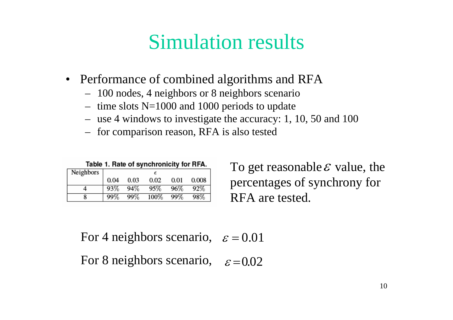### Simulation results

- Performance of combined algorithms and RFA
	- 100 nodes, 4 neighbors or 8 neighbors scenario
	- time slots N=1000 and 1000 periods to update
	- use 4 windows to investigate the accuracy: 1, 10, 50 and 100
	- for comparison reason, RFA is also tested

Table 1. Rate of synchronicity for RFA.

| Neighbors |      |      |      |      |       |
|-----------|------|------|------|------|-------|
|           | 0.04 | 0.03 | 0.02 | 0.01 | 0.008 |
|           | 93%  | 94%  | 95%  | 96%  | 92%   |
|           | 99%  | 99%  | 100% | 99%  | 98%   |

To get reasonable  $\varepsilon$  value, the percentages of synchrony for RFA are tested.

For 4 neighbors scenario,  $\varepsilon = 0.01$ 

For 8 neighbors scenario,  $\varepsilon = 0.02$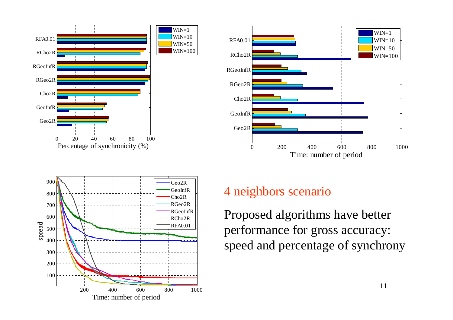





#### 4 neighbors scenario

Proposed algorithms have better performance for gross accuracy: speed and percentage of synchrony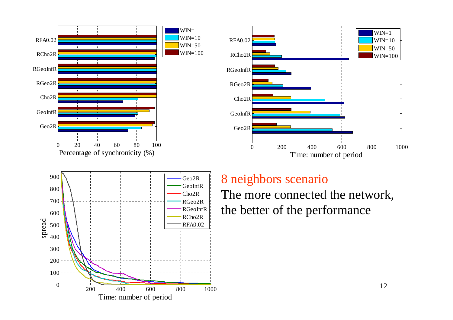





#### 8 neighbors scenario

The more connected the network, the better of the performance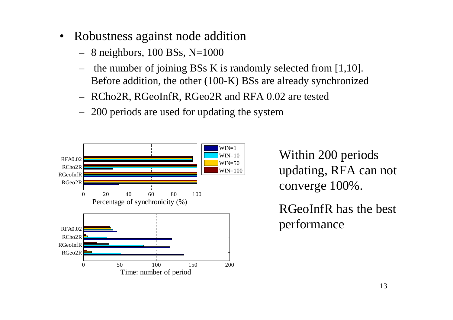- • Robustness against node addition
	- 8 neighbors, 100 BSs, N=1000
	- the number of joining BSs K is randomly selected from [1,10]. Before addition, the other (100-K) BSs are already synchronized
	- –RCho2R, RGeoInfR, RGeo2R and RFA 0.02 are tested
	- 200 periods are used for updating the system



Within 200 periods updating, RFA can not converge 100%.

RGeoInfR has the best performance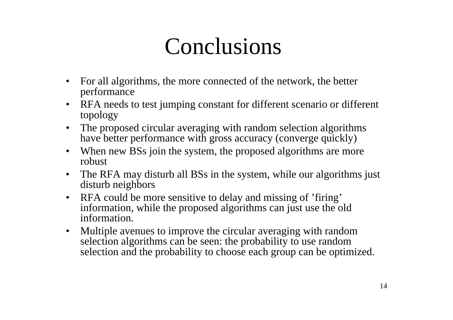# Conclusions

- • For all algorithms, the more connected of the network, the better performance
- • RFA needs to test jumping constant for different scenario or different topology
- The proposed circular averaging with random selection algorithms have better performance with gross accuracy (converge quickly)
- When new BSs join the system, the proposed algorithms are more robust
- • The RFA may disturb all BSs in the system, while our algorithms just disturb neighbors
- RFA could be more sensitive to delay and missing of 'firing' information, while the proposed algorithms can just use the old information.
- • Multiple avenues to improve the circular averaging with random selection algorithms can be seen: the probability to use random selection and the probability to choose each group can be optimized.